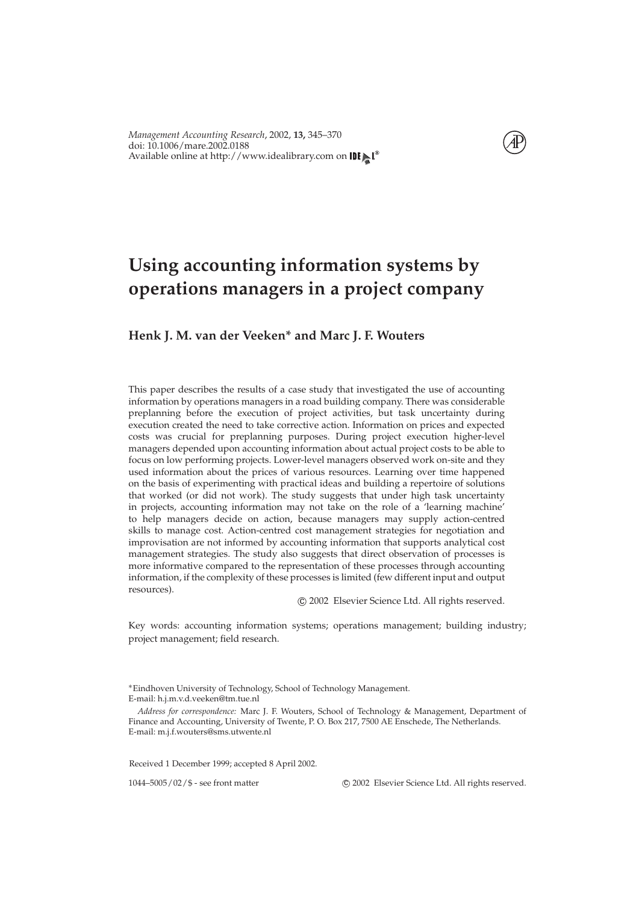

# **Using accounting information systems by operations managers in a project company**

### **Henk J. M. van der Veeken\* and Marc J. F. Wouters**

This paper describes the results of a case study that investigated the use of accounting information by operations managers in a road building company. There was considerable preplanning before the execution of project activities, but task uncertainty during execution created the need to take corrective action. Information on prices and expected costs was crucial for preplanning purposes. During project execution higher-level managers depended upon accounting information about actual project costs to be able to focus on low performing projects. Lower-level managers observed work on-site and they used information about the prices of various resources. Learning over time happened on the basis of experimenting with practical ideas and building a repertoire of solutions that worked (or did not work). The study suggests that under high task uncertainty in projects, accounting information may not take on the role of a 'learning machine' to help managers decide on action, because managers may supply action-centred skills to manage cost. Action-centred cost management strategies for negotiation and improvisation are not informed by accounting information that supports analytical cost management strategies. The study also suggests that direct observation of processes is more informative compared to the representation of these processes through accounting information, if the complexity of these processes is limited (few different input and output resources).

c 2002 Elsevier Science Ltd. All rights reserved.

Key words: accounting information systems; operations management; building industry; project management; field research.

Received 1 December 1999; accepted 8 April 2002.

1044–5005/02/\$ - see front matter c 2002 Elsevier Science Ltd. All rights reserved.

<sup>∗</sup>Eindhoven University of Technology, School of Technology Management. E-mail: h.j.m.v.d.veeken@tm.tue.nl

*Address for correspondence:* Marc J. F. Wouters, School of Technology & Management, Department of Finance and Accounting, University of Twente, P. O. Box 217, 7500 AE Enschede, The Netherlands. E-mail: m.j.f.wouters@sms.utwente.nl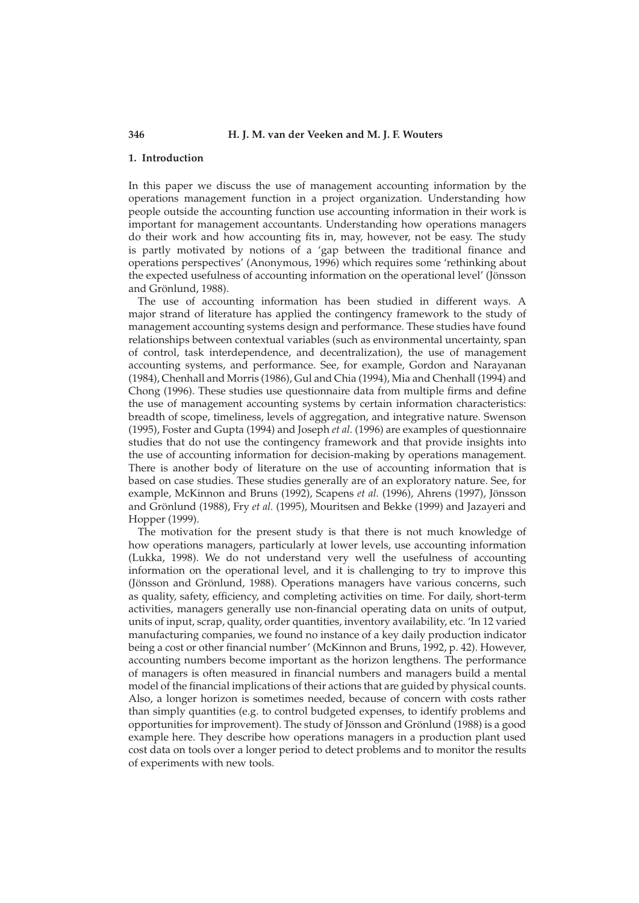#### **346 H. J. M. van der Veeken and M. J. F. Wouters**

#### **1. Introduction**

In this paper we discuss the use of management accounting information by the operations management function in a project organization. Understanding how people outside the accounting function use accounting information in their work is important for management accountants. Understanding how operations managers do their work and how accounting fits in, may, however, not be easy. The study is partly motivated by notions of a 'gap between the traditional finance and operations perspectives' [\(Anonymous,](#page--1-0) [1996\)](#page--1-0) which requires some 'rethinking about the expected usefulness of accounting information on the operational level' [\(Jönsson](#page--1-1) [and Grönlund,](#page--1-1) [1988\)](#page--1-1).

The use of accounting information has been studied in different ways. A major strand of literature has applied the contingency framework to the study of management accounting systems design and performance. These studies have found relationships between contextual variables (such as environmental uncertainty, span of control, task interdependence, and decentralization), the use of management accounting systems, and performance. See, for example, [Gordon and Narayanan](#page--1-2) [\(1984\)](#page--1-2), [Chenhall and Morris](#page--1-3) [\(1986\)](#page--1-3), [Gul and Chia](#page--1-4) [\(1994\)](#page--1-4), [Mia and Chenhall](#page--1-5) [\(1994\)](#page--1-5) and [Chong](#page--1-6) [\(1996\)](#page--1-6). These studies use questionnaire data from multiple firms and define the use of management accounting systems by certain information characteristics: breadth of scope, timeliness, levels of aggregation, and integrative nature. [Swenson](#page--1-7) [\(1995\)](#page--1-7), [Foster and Gupta](#page--1-8) [\(1994\)](#page--1-8) and [Joseph](#page--1-9) *et al.* [\(1996\)](#page--1-9) are examples of questionnaire studies that do not use the contingency framework and that provide insights into the use of accounting information for decision-making by operations management. There is another body of literature on the use of accounting information that is based on case studies. These studies generally are of an exploratory nature. See, for example, [McKinnon and Bruns](#page--1-10) [\(1992\)](#page--1-10), [Scapens](#page--1-11) *et al.* [\(1996\)](#page--1-11), [Ahrens](#page--1-12) [\(1997\)](#page--1-12), [Jönsson](#page--1-1) [and Grönlund](#page--1-1) [\(1988\)](#page--1-1), Fry *[et al.](#page--1-13)* [\(1995\)](#page--1-13), [Mouritsen and Bekke](#page--1-14) [\(1999\)](#page--1-14) and [Jazayeri and](#page--1-15) [Hopper](#page--1-15) [\(1999\)](#page--1-15).

The motivation for the present study is that there is not much knowledge of how operations managers, particularly at lower levels, use accounting information [\(Lukka,](#page--1-16) [1998\)](#page--1-16). We do not understand very well the usefulness of accounting information on the operational level, and it is challenging to try to improve this [\(Jönsson and Grönlund,](#page--1-1) [1988\)](#page--1-1). Operations managers have various concerns, such as quality, safety, efficiency, and completing activities on time. For daily, short-term activities, managers generally use non-financial operating data on units of output, units of input, scrap, quality, order quantities, inventory availability, etc. 'In 12 varied manufacturing companies, we found no instance of a key daily production indicator being a cost or other financial number' [\(McKinnon and Bruns,](#page--1-10) [1992,](#page--1-10) p. 42). However, accounting numbers become important as the horizon lengthens. The performance of managers is often measured in financial numbers and managers build a mental model of the financial implications of their actions that are guided by physical counts. Also, a longer horizon is sometimes needed, because of concern with costs rather than simply quantities (e.g. to control budgeted expenses, to identify problems and opportunities for improvement). The study of [Jönsson and Grönlund](#page--1-1) [\(1988\)](#page--1-1) is a good example here. They describe how operations managers in a production plant used cost data on tools over a longer period to detect problems and to monitor the results of experiments with new tools.